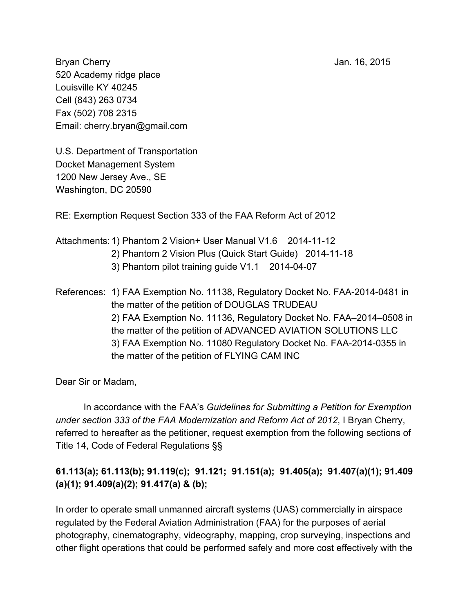Bryan Cherry **Jan. 16, 2015** 520 Academy ridge place Louisville KY 40245 Cell (843) 263 0734 Fax (502) 708 2315 Email: cherry.bryan@gmail.com

U.S. Department of Transportation Docket Management System 1200 New Jersey Ave., SE Washington, DC 20590

RE: Exemption Request Section 333 of the FAA Reform Act of 2012

- Attachments: 1) Phantom 2 Vision + User Manual V1.6 2014-11-12 2) Phantom 2 Vision Plus (Quick Start Guide) 2014-11-18 3) Phantom pilot training quide  $V1.1$  2014-04-07
- References: 1) FAA Exemption No. 11138, Regulatory Docket No. FAA-2014-0481 in the matter of the petition of DOUGLAS TRUDEAU 2) FAA Exemption No. 11136, Regulatory Docket No. FAA–2014–0508 in the matter of the petition of ADVANCED AVIATION SOLUTIONS LLC 3) FAA Exemption No. 11080 Regulatory Docket No. FAA-2014-0355 in the matter of the petition of FLYING CAM INC

Dear Sir or Madam,

In accordance with the FAA's *Guidelines for Submitting a Petition for Exemption under section 333 of the FAA Modernization and Reform Act of 2012*, I Bryan Cherry, referred to hereafter as the petitioner, request exemption from the following sections of Title 14, Code of Federal Regulations §§

# **61.113(a); 61.113(b); 91.119(c); 91.121; 91.151(a); 91.405(a); 91.407(a)(1); 91.409 (a)(1); 91.409(a)(2); 91.417(a) & (b);**

In order to operate small unmanned aircraft systems (UAS) commercially in airspace regulated by the Federal Aviation Administration (FAA) for the purposes of aerial photography, cinematography, videography, mapping, crop surveying, inspections and other flight operations that could be performed safely and more cost effectively with the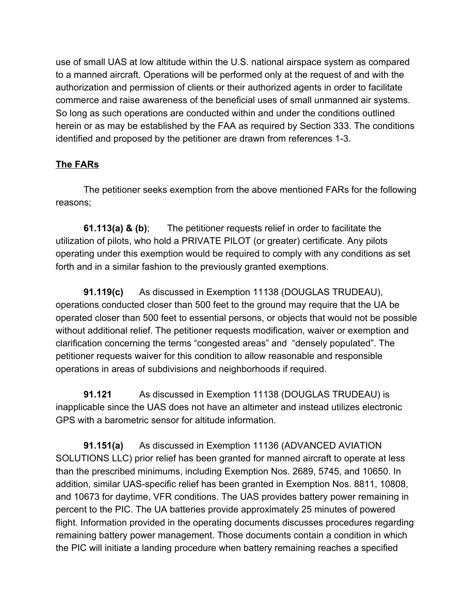use of small UAS at low altitude within the U.S. national airspace system as compared to a manned aircraft. Operations will be performed only at the request of and with the authorization and permission of clients or their authorized agents in order to facilitate commerce and raise awareness of the beneficial uses of small unmanned air systems. So long as such operations are conducted within and under the conditions outlined herein or as may be established by the FAA as required by Section 333. The conditions identified and proposed by the petitioner are drawn from references 1-3.

# **The FARs**

The petitioner seeks exemption from the above mentioned FARs for the following reasons;

**61.113(a) & (b)**; The petitioner requests relief in order to facilitate the utilization of pilots, who hold a PRIVATE PILOT (or greater) certificate. Any pilots operating under this exemption would be required to comply with any conditions as set forth and in a similar fashion to the previously granted exemptions.

**91.119(c)** As discussed in Exemption 11138 (DOUGLAS TRUDEAU), operations conducted closer than 500 feet to the ground may require that the UA be operated closer than 500 feet to essential persons, or objects that would not be possible without additional relief. The petitioner requests modification, waiver or exemption and clarification concerning the terms "congested areas" and "densely populated". The petitioner requests waiver for this condition to allow reasonable and responsible operations in areas of subdivisions and neighborhoods if required.

**91.121** As discussed in Exemption 11138 (DOUGLAS TRUDEAU) is inapplicable since the UAS does not have an altimeter and instead utilizes electronic GPS with a barometric sensor for altitude information.

**91.151(a)** As discussed in Exemption 11136 (ADVANCED AVIATION SOLUTIONS LLC) prior relief has been granted for manned aircraft to operate at less than the prescribed minimums, including Exemption Nos. 2689, 5745, and 10650. In addition, similar UAS-specific relief has been granted in Exemption Nos. 8811, 10808, and 10673 for daytime, VFR conditions. The UAS provides battery power remaining in percent to the PIC. The UA batteries provide approximately 25 minutes of powered flight. Information provided in the operating documents discusses procedures regarding remaining battery power management. Those documents contain a condition in which the PIC will initiate a landing procedure when battery remaining reaches a specified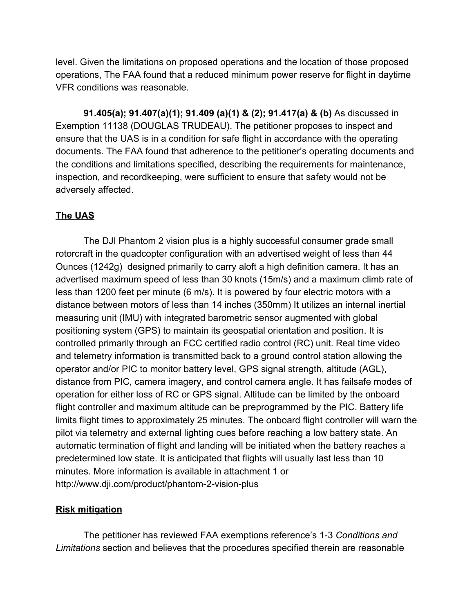level. Given the limitations on proposed operations and the location of those proposed operations, The FAA found that a reduced minimum power reserve for flight in daytime VFR conditions was reasonable.

**91.405(a); 91.407(a)(1); 91.409 (a)(1) & (2); 91.417(a) & (b)** As discussed in Exemption 11138 (DOUGLAS TRUDEAU), The petitioner proposes to inspect and ensure that the UAS is in a condition for safe flight in accordance with the operating documents. The FAA found that adherence to the petitioner's operating documents and the conditions and limitations specified, describing the requirements for maintenance, inspection, and recordkeeping, were sufficient to ensure that safety would not be adversely affected.

# **The UAS**

The DJI Phantom 2 vision plus is a highly successful consumer grade small rotorcraft in the quadcopter configuration with an advertised weight of less than 44 Ounces (1242g) designed primarily to carry aloft a high definition camera. It has an advertised maximum speed of less than 30 knots (15m/s) and a maximum climb rate of less than 1200 feet per minute (6 m/s). It is powered by four electric motors with a distance between motors of less than 14 inches (350mm) It utilizes an internal inertial measuring unit (IMU) with integrated barometric sensor augmented with global positioning system (GPS) to maintain its geospatial orientation and position. It is controlled primarily through an FCC certified radio control (RC) unit. Real time video and telemetry information is transmitted back to a ground control station allowing the operator and/or PIC to monitor battery level, GPS signal strength, altitude (AGL), distance from PIC, camera imagery, and control camera angle. It has failsafe modes of operation for either loss of RC or GPS signal. Altitude can be limited by the onboard flight controller and maximum altitude can be preprogrammed by the PIC. Battery life limits flight times to approximately 25 minutes. The onboard flight controller will warn the pilot via telemetry and external lighting cues before reaching a low battery state. An automatic termination of flight and landing will be initiated when the battery reaches a predetermined low state. It is anticipated that flights will usually last less than 10 minutes. More information is available in attachment 1 or http://www.dji.com/product/phantom-2-vision-plus

### **Risk mitigation**

The petitioner has reviewed FAA exemptions reference's 13 *Conditions and Limitations* section and believes that the procedures specified therein are reasonable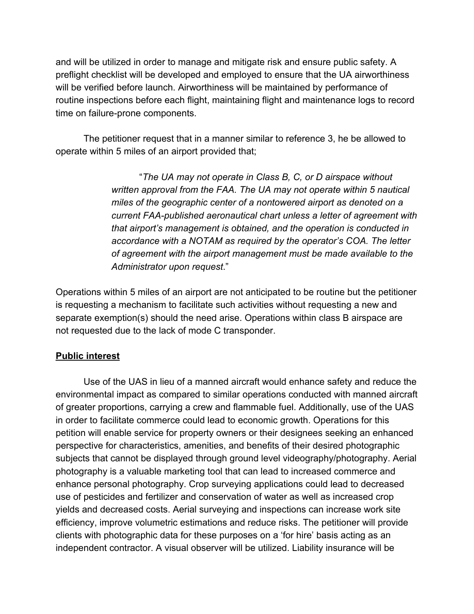and will be utilized in order to manage and mitigate risk and ensure public safety. A preflight checklist will be developed and employed to ensure that the UA airworthiness will be verified before launch. Airworthiness will be maintained by performance of routine inspections before each flight, maintaining flight and maintenance logs to record time on failure-prone components.

The petitioner request that in a manner similar to reference 3, he be allowed to operate within 5 miles of an airport provided that;

> "*The UA may not operate in Class B, C, or D airspace without written approval from the FAA. The UA may not operate within 5 nautical miles of the geographic center of a nontowered airport as denoted on a current FAApublished aeronautical chart unless a letter of agreement with that airport's management is obtained, and the operation is conducted in accordance with a NOTAM as required by the operator's COA. The letter of agreement with the airport management must be made available to the Administrator upon request*."

Operations within 5 miles of an airport are not anticipated to be routine but the petitioner is requesting a mechanism to facilitate such activities without requesting a new and separate exemption(s) should the need arise. Operations within class B airspace are not requested due to the lack of mode C transponder.

#### **Public interest**

Use of the UAS in lieu of a manned aircraft would enhance safety and reduce the environmental impact as compared to similar operations conducted with manned aircraft of greater proportions, carrying a crew and flammable fuel. Additionally, use of the UAS in order to facilitate commerce could lead to economic growth. Operations for this petition will enable service for property owners or their designees seeking an enhanced perspective for characteristics, amenities, and benefits of their desired photographic subjects that cannot be displayed through ground level videography/photography. Aerial photography is a valuable marketing tool that can lead to increased commerce and enhance personal photography. Crop surveying applications could lead to decreased use of pesticides and fertilizer and conservation of water as well as increased crop yields and decreased costs. Aerial surveying and inspections can increase work site efficiency, improve volumetric estimations and reduce risks. The petitioner will provide clients with photographic data for these purposes on a 'for hire' basis acting as an independent contractor. A visual observer will be utilized. Liability insurance will be